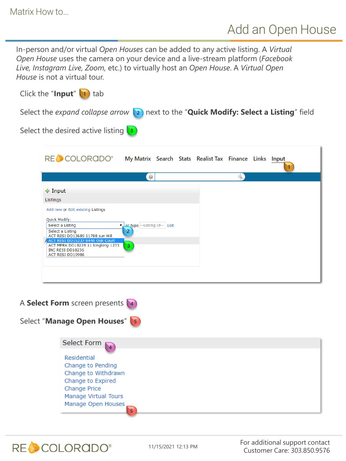In-person and/or virtual *Open Houses* can be added to any active listing. A *Virtual Open House* uses the camera on your device and a live-stream platform (*Facebook Live, Instagram Live, Zoom,* etc.) to virtually host an *Open House*. A *Virtual Open House* is not a virtual tour.

| Click the "Input" $\boxed{1}$ tab                                                                                                                                                                                                                                    |                                                        |  |  |
|----------------------------------------------------------------------------------------------------------------------------------------------------------------------------------------------------------------------------------------------------------------------|--------------------------------------------------------|--|--|
| Select the expand collapse arrow $\langle z \rangle$ next to the "Quick Modify: Select a Listing" field                                                                                                                                                              |                                                        |  |  |
| Select the desired active listing $\boxed{3}$                                                                                                                                                                                                                        |                                                        |  |  |
| RECCOLORADO®                                                                                                                                                                                                                                                         | My Matrix Search Stats Realist Tax Finance Links Input |  |  |
|                                                                                                                                                                                                                                                                      | $\circ$                                                |  |  |
| + Input<br>Listings<br>Add new or Edit existing Listings<br>Quick Modify:<br>Select a Listing<br>Select a Listing<br>ACT RESI DD13689 11788 sun Hill<br>ACT RESI DD15237 8440 Oak Court<br>ACT MPRK DD18228 11 longlong 1233<br>INC RESI DD18236<br>ACT RESI DD19986 | Vor type -- Listing Id-- Edit<br>2<br>3                |  |  |
| A Select Form screen presents 4                                                                                                                                                                                                                                      |                                                        |  |  |
| Select "Manage Open Houses" 5                                                                                                                                                                                                                                        |                                                        |  |  |
| Select Form<br>Residential<br>Change to Pending<br>Change to Withdrawn<br>Change to Expired<br>Change Drice I                                                                                                                                                        |                                                        |  |  |

Change Price Manage Virtual Tours

**RECCOLORGDO®** 

Manage Open Houses

11/15/2021 12:13 PM

**5**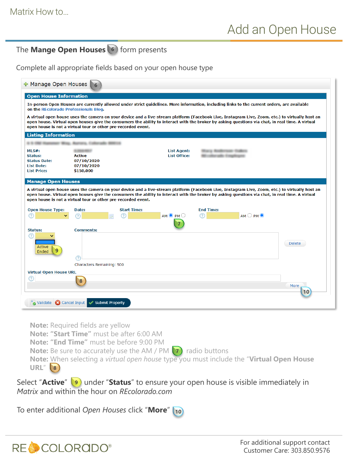## The **Mange Open Houses** 6 form presents

Complete all appropriate fields based on your open house type

| + Manage Open Houses                                                                      |                                                                                                                                                                                                                                                                                                                                                                                                                                                                 |               |
|-------------------------------------------------------------------------------------------|-----------------------------------------------------------------------------------------------------------------------------------------------------------------------------------------------------------------------------------------------------------------------------------------------------------------------------------------------------------------------------------------------------------------------------------------------------------------|---------------|
| <b>Open House Information</b>                                                             |                                                                                                                                                                                                                                                                                                                                                                                                                                                                 |               |
| on the REcolorado Professionals Blog.                                                     | In-person Open Houses are currently allowed under strict quidelines. More information, including links to the current orders, are available                                                                                                                                                                                                                                                                                                                     |               |
|                                                                                           | A virtual open house uses the camera on your device and a live-stream platform (Facebook Live, Instagram Live, Zoom, etc.) to virtually host an<br>open house. Virtual open houses give the consumers the ability to interact with the broker by asking questions via chat, in real time. A virtual<br>open house is not a virtual tour or other pre-recorded event.                                                                                            |               |
| <b>Listing Information</b>                                                                |                                                                                                                                                                                                                                                                                                                                                                                                                                                                 |               |
|                                                                                           |                                                                                                                                                                                                                                                                                                                                                                                                                                                                 |               |
| MLS#:<br><b>Status:</b><br><b>Status Date:</b><br><b>List Date:</b><br><b>List Price:</b> | <b>List Agent:</b><br><b>List Office:</b><br><b>Active</b><br>07/10/2020<br>07/10/2020<br>\$150,000                                                                                                                                                                                                                                                                                                                                                             |               |
| <b>Open House Type:</b><br>(?)                                                            | A virtual open house uses the camera on your device and a live-stream platform (Facebook Live, Instagram Live, Zoom, etc.) to virtually host an<br>open house. Virtual open houses give the consumers the ability to interact with the broker by asking questions via chat, in real time. A virtual<br>open house is not a virtual tour or other pre-recorded event.<br><b>Start Time:</b><br><b>End Time:</b><br>Date:<br>$AM$ $\odot$ PM $\odot$<br>(?)<br>วา | AMOPM         |
| <b>Status:</b>                                                                            | <b>Comments:</b>                                                                                                                                                                                                                                                                                                                                                                                                                                                |               |
| Active<br>9<br>Ended                                                                      | ヮ                                                                                                                                                                                                                                                                                                                                                                                                                                                               | <b>Delete</b> |
|                                                                                           | Characters Remaining: 500                                                                                                                                                                                                                                                                                                                                                                                                                                       |               |
| <b>Virtual Open House URL</b>                                                             |                                                                                                                                                                                                                                                                                                                                                                                                                                                                 |               |
|                                                                                           | $\overline{\mathbf{8}}$                                                                                                                                                                                                                                                                                                                                                                                                                                         | More<br>10    |
| Validate <b>C</b> Cancel Input                                                            | Submit Property                                                                                                                                                                                                                                                                                                                                                                                                                                                 |               |

**Note:** Required fields are yellow

**Note: "Start Time"** must be after 6:00 AM

**Note: "End Time"** must be before 9:00 PM

**Note:** Be sure to accurately use the AM / PM (7) radio buttons

**Note:** When selecting a *virtual open house* type you must include the "**Virtual Open House URL**" **8**

Select "Active" **9** under "Status" to ensure your open house is visible immediately in *Matrix* and within the hour on *REcolorado.com*

To enter additional *Open Houses* click "**More**"